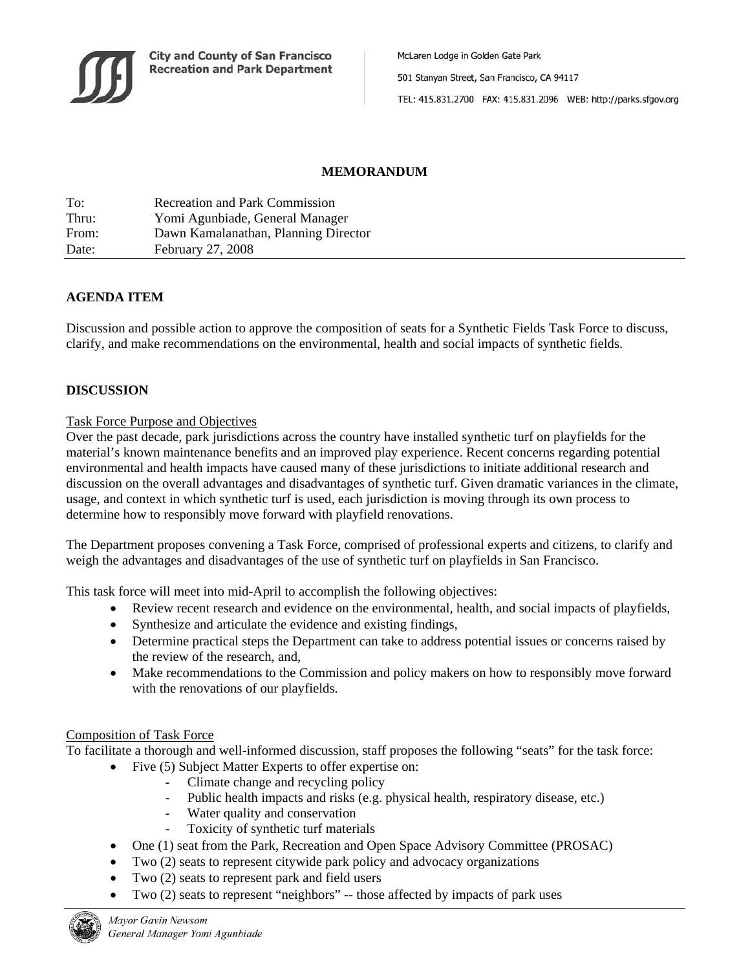

McLaren Lodge in Golden Gate Park 501 Stanyan Street, San Francisco, CA 94117 TEL: 415.831.2700 FAX: 415.831.2096 WEB: http://parks.sfgov.org

# **MEMORANDUM**

| To:   | <b>Recreation and Park Commission</b> |
|-------|---------------------------------------|
| Thru: | Yomi Agunbiade, General Manager       |
| From: | Dawn Kamalanathan, Planning Director  |
| Date: | February 27, 2008                     |

## **AGENDA ITEM**

Discussion and possible action to approve the composition of seats for a Synthetic Fields Task Force to discuss, clarify, and make recommendations on the environmental, health and social impacts of synthetic fields.

## **DISCUSSION**

#### Task Force Purpose and Objectives

Over the past decade, park jurisdictions across the country have installed synthetic turf on playfields for the material's known maintenance benefits and an improved play experience. Recent concerns regarding potential environmental and health impacts have caused many of these jurisdictions to initiate additional research and discussion on the overall advantages and disadvantages of synthetic turf. Given dramatic variances in the climate, usage, and context in which synthetic turf is used, each jurisdiction is moving through its own process to determine how to responsibly move forward with playfield renovations.

The Department proposes convening a Task Force, comprised of professional experts and citizens, to clarify and weigh the advantages and disadvantages of the use of synthetic turf on playfields in San Francisco.

This task force will meet into mid-April to accomplish the following objectives:

- Review recent research and evidence on the environmental, health, and social impacts of playfields,
- Synthesize and articulate the evidence and existing findings,
- Determine practical steps the Department can take to address potential issues or concerns raised by the review of the research, and,
- Make recommendations to the Commission and policy makers on how to responsibly move forward with the renovations of our playfields.

#### Composition of Task Force

To facilitate a thorough and well-informed discussion, staff proposes the following "seats" for the task force:

- Five (5) Subject Matter Experts to offer expertise on:
	- Climate change and recycling policy
	- Public health impacts and risks (e.g. physical health, respiratory disease, etc.)
	- Water quality and conservation
	- Toxicity of synthetic turf materials
- One (1) seat from the Park, Recreation and Open Space Advisory Committee (PROSAC)
- Two (2) seats to represent citywide park policy and advocacy organizations
- Two (2) seats to represent park and field users
- Two (2) seats to represent "neighbors" -- those affected by impacts of park uses